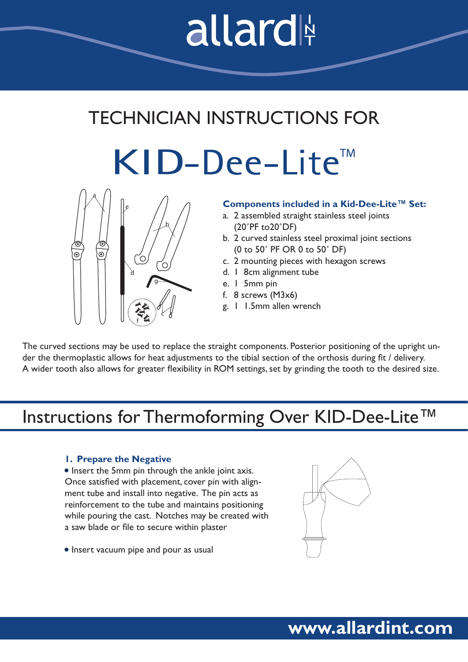# allard

# TECHNICIAN INSTRUCTIONS FOR

KID-Dee-Lite<sup>™</sup>



#### **Components included in a Kid-Dee-Lite™ Set:**

- a. 2 assembled straight stainless steel joints (20˚PF to20˚DF)
- b. 2 curved stainless steel proximal joint sections (0 to 50˚ PF OR 0 to 50˚ DF)
- c. 2 mounting pieces with hexagon screws
- d. 1 8cm alignment tube
- e. 1 5mm pin
- f. 8 screws (M3x6)
- g. 1 1.5mm allen wrench

The curved sections may be used to replace the straight components. Posterior positioning of the upright under the thermoplastic allows for heat adjustments to the tibial section of the orthosis during fit / delivery. A wider tooth also allows for greater flexibility in ROM settings, set by grinding the tooth to the desired size.

# Instructions for Thermoforming Over KID-Dee-Lite™

#### **1. Prepare the Negative**

• Insert the 5mm pin through the ankle joint axis. Once satisfied with placement, cover pin with alignment tube and install into negative. The pin acts as reinforcement to the tube and maintains positioning while pouring the cast. Notches may be created with a saw blade or file to secure within plaster

• Insert vacuum pipe and pour as usual